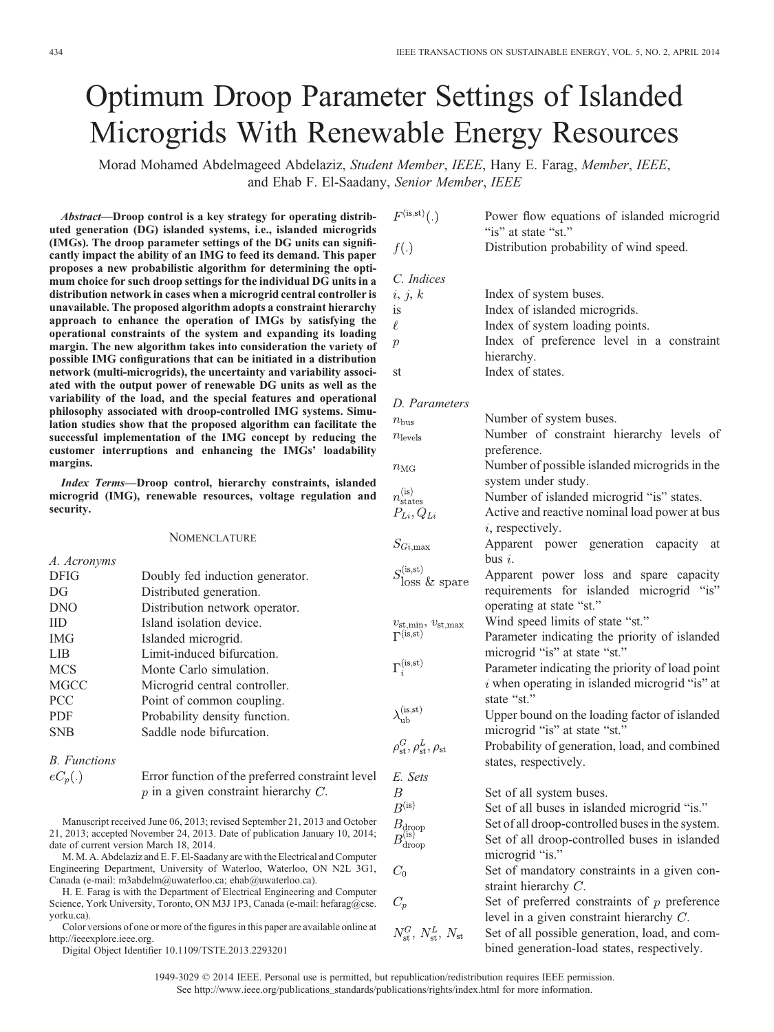# Optimum Droop Parameter Settings of Islanded Microgrids With Renewable Energy Resources

Morad Mohamed Abdelmageed Abdelaziz, Student Member, IEEE, Hany E. Farag, Member, IEEE, and Ehab F. El-Saadany, Senior Member, IEEE

Abstract—Droop control is a key strategy for operating distributed generation (DG) islanded systems, i.e., islanded microgrids (IMGs). The droop parameter settings of the DG units can significantly impact the ability of an IMG to feed its demand. This paper proposes a new probabilistic algorithm for determining the optimum choice for such droop settings for the individual DG units in a distribution network in cases when a microgrid central controller is unavailable. The proposed algorithm adopts a constraint hierarchy approach to enhance the operation of IMGs by satisfying the operational constraints of the system and expanding its loading margin. The new algorithm takes into consideration the variety of possible IMG configurations that can be initiated in a distribution network (multi-microgrids), the uncertainty and variability associated with the output power of renewable DG units as well as the variability of the load, and the special features and operational philosophy associated with droop-controlled IMG systems. Simulation studies show that the proposed algorithm can facilitate the successful implementation of the IMG concept by reducing the customer interruptions and enhancing the IMGs' loadability margins.

Index Terms—Droop control, hierarchy constraints, islanded microgrid (IMG), renewable resources, voltage regulation and security.

### **NOMENCLATURE**

| A. Acronyms |                                 |                                                                |
|-------------|---------------------------------|----------------------------------------------------------------|
| <b>DFIG</b> | Doubly fed induction generator. | $S_{\rm loss}^{\rm (is, st)}$                                  |
| DG          | Distributed generation.         |                                                                |
| <b>DNO</b>  | Distribution network operator.  |                                                                |
| <b>IID</b>  | Island isolation device.        | $v_{\rm st,min}$                                               |
| <b>IMG</b>  | Islanded microgrid.             | $\Gamma^{(is,st)}$                                             |
| LIB         | Limit-induced bifurcation.      |                                                                |
| <b>MCS</b>  | Monte Carlo simulation.         | $\Gamma_i^{(\rm is, st)}$                                      |
| <b>MGCC</b> | Microgrid central controller.   |                                                                |
| <b>PCC</b>  | Point of common coupling.       |                                                                |
| <b>PDF</b>  | Probability density function.   | $\lambda_{\mathrm{u} \mathrm{b}}^{(\mathrm{is}, \mathrm{st})}$ |
| <b>SNB</b>  | Saddle node bifurcation.        | $\alpha$ $\tau$                                                |
|             |                                 |                                                                |

## B. Functions

| $eC_p(.)$ | Error function of the preferred constraint level |
|-----------|--------------------------------------------------|
|           | $p$ in a given constraint hierarchy $C$ .        |

Manuscript received June 06, 2013; revised September 21, 2013 and October 21, 2013; accepted November 24, 2013. Date of publication January 10, 2014; date of current version March 18, 2014.

M. M. A. Abdelaziz and E. F. El-Saadany are with the Electrical and Computer Engineering Department, University of Waterloo, Waterloo, ON N2L 3G1, Canada (e-mail: m3abdelm@uwaterloo.ca; ehab@uwaterloo.ca).

H. E. Farag is with the Department of Electrical Engineering and Computer Science, York University, Toronto, ON M3J 1P3, Canada (e-mail: hefarag@cse. yorku.ca).

Color versions of one or more of the figures in this paper are available online at http://ieeexplore.ieee.org.

Digital Object Identifier 10.1109/TSTE.2013.2293201

| $F^{(is,st)}(.)$                                        | Power flow equations of islanded microgrid<br>"is" at state "st."                                   |  |
|---------------------------------------------------------|-----------------------------------------------------------------------------------------------------|--|
| f(.)                                                    | Distribution probability of wind speed.                                                             |  |
| C. Indices                                              |                                                                                                     |  |
| i, j, k                                                 | Index of system buses.                                                                              |  |
| <i>is</i>                                               | Index of islanded microgrids.                                                                       |  |
| $\ell$                                                  | Index of system loading points.                                                                     |  |
| $\boldsymbol{p}$                                        | Index of preference level in a constraint                                                           |  |
|                                                         | hierarchy.                                                                                          |  |
| st                                                      | Index of states.                                                                                    |  |
| D. Parameters                                           |                                                                                                     |  |
| $n_{\rm bus}$                                           | Number of system buses.                                                                             |  |
| $n_{\rm levels}$                                        | Number of constraint hierarchy levels of                                                            |  |
|                                                         | preference.                                                                                         |  |
| $n_{\rm MG}$                                            | Number of possible islanded microgrids in the                                                       |  |
|                                                         | system under study.                                                                                 |  |
| $n_{\text{states}}^{(\text{is})}$                       | Number of islanded microgrid "is" states.                                                           |  |
| $P_{Li}, Q_{Li}$                                        | Active and reactive nominal load power at bus                                                       |  |
|                                                         | $i$ , respectively.                                                                                 |  |
| $S_{Gi,{\rm max}}$                                      | Apparent power generation capacity at                                                               |  |
|                                                         | bus $i$ .                                                                                           |  |
| $S_{i}^{(is,st)}$                                       | Apparent power loss and spare capacity                                                              |  |
| $\delta$ loss & spare                                   | requirements for islanded microgrid "is"                                                            |  |
|                                                         | operating at state "st."                                                                            |  |
|                                                         | Wind speed limits of state "st."                                                                    |  |
| $v_{\rm st,min},\,v_{\rm st,max}$<br>$\Gamma^{(is,st)}$ | Parameter indicating the priority of islanded                                                       |  |
|                                                         | microgrid "is" at state "st."                                                                       |  |
| $\Gamma_i^{(is,st)}$                                    |                                                                                                     |  |
|                                                         | Parameter indicating the priority of load point<br>$i$ when operating in islanded microgrid "is" at |  |
|                                                         |                                                                                                     |  |
|                                                         | state "st."                                                                                         |  |
| $\lambda_{\rm ub}^{\rm (is, st)}$                       | Upper bound on the loading factor of islanded                                                       |  |
|                                                         | microgrid "is" at state "st."                                                                       |  |
| $\rho_{{\rm st}}^G, \rho_{{\rm st}}^L, \rho_{{\rm st}}$ | Probability of generation, load, and combined                                                       |  |
|                                                         | states, respectively.                                                                               |  |
| E. Sets                                                 |                                                                                                     |  |
| $\,$                                                    | Set of all system buses.                                                                            |  |
| B <sup>(is)</sup>                                       | Set of all buses in islanded microgrid "is."                                                        |  |
| $B_{\rm drop} \ B_{\rm drop}^{({\rm is})}$              | Set of all droop-controlled buses in the system.                                                    |  |
|                                                         | Set of all droop-controlled buses in islanded                                                       |  |
|                                                         | microgrid "is."                                                                                     |  |
| $C_{0}$                                                 | Set of mandatory constraints in a given con-                                                        |  |
|                                                         | straint hierarchy $C$ .                                                                             |  |
| $C_p$                                                   | Set of preferred constraints of $p$ preference                                                      |  |
|                                                         | level in a given constraint hierarchy $C$ .                                                         |  |
|                                                         |                                                                                                     |  |

 $N_{\text{st}}^G$ ,  $N_{\text{st}}^L$ ,  $N_{\text{st}}$ Set of all possible generation, load, and combined generation-load states, respectively.

1949-3029 © 2014 IEEE. Personal use is permitted, but republication/redistribution requires IEEE permission. See http://www.ieee.org/publications\_standards/publications/rights/index.html for more information.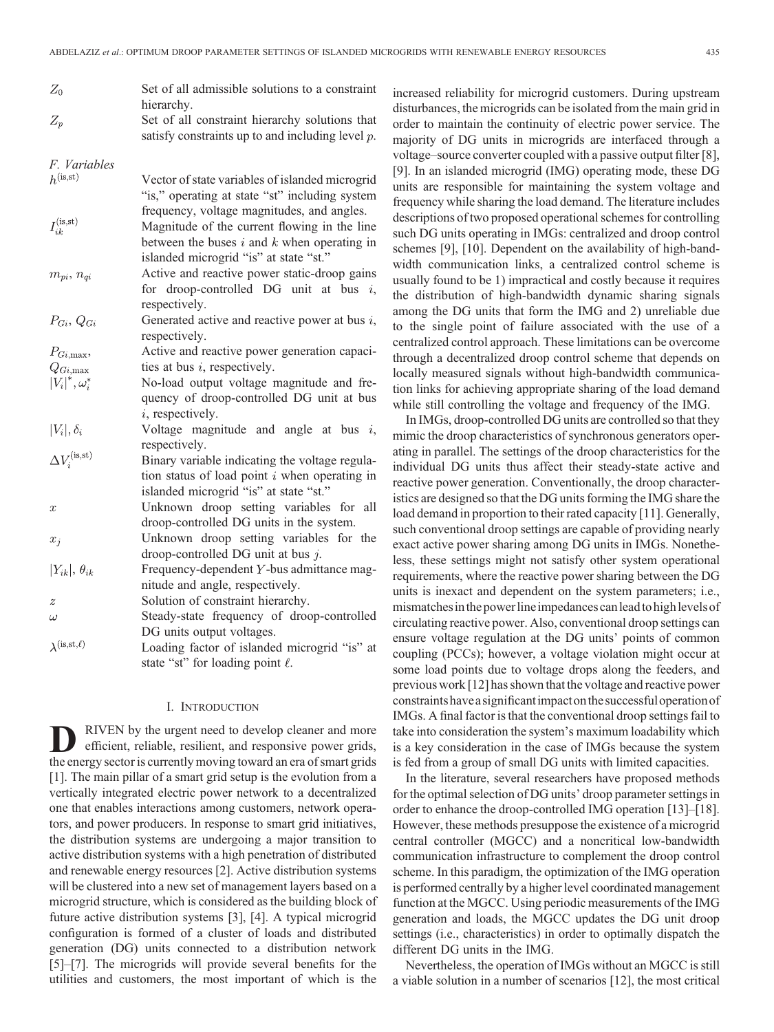| $Z_0$                                     | Set of all admissible solutions to a constraint<br>hierarchy. |
|-------------------------------------------|---------------------------------------------------------------|
| $Z_p$                                     | Set of all constraint hierarchy solutions that                |
|                                           | satisfy constraints up to and including level $p$ .           |
| F. Variables                              |                                                               |
| $h^{(is, st)}$                            | Vector of state variables of islanded microgrid               |
|                                           | "is," operating at state "st" including system                |
|                                           | frequency, voltage magnitudes, and angles.                    |
| $I^{(\rm is, st)}_{ik}$                   | Magnitude of the current flowing in the line                  |
|                                           | between the buses $i$ and $k$ when operating in               |
|                                           | islanded microgrid "is" at state "st."                        |
| $m_{pi}, n_{qi}$                          | Active and reactive power static-droop gains                  |
|                                           | for droop-controlled DG unit at bus $i$ ,                     |
|                                           | respectively.                                                 |
| $P_{Gi}$ , $Q_{Gi}$                       | Generated active and reactive power at bus $i$ ,              |
|                                           | respectively.                                                 |
| $P_{Gi,\text{max}}$                       | Active and reactive power generation capaci-                  |
| $Q_{Gi,{\rm max}}$                        | ties at bus $i$ , respectively.                               |
| $ V_i ^*, \omega_i^*$                     | No-load output voltage magnitude and fre-                     |
|                                           | quency of droop-controlled DG unit at bus                     |
|                                           | $i$ , respectively.                                           |
| $ V_i , \delta_i$                         | Voltage magnitude and angle at bus $i$ ,                      |
|                                           | respectively.                                                 |
| $\Delta V_i^{(\mathrm{is}, \mathrm{st})}$ | Binary variable indicating the voltage regula-                |
|                                           | tion status of load point $i$ when operating in               |
|                                           | islanded microgrid "is" at state "st."                        |
| $\boldsymbol{x}$                          | Unknown droop setting variables for<br>all                    |
|                                           | droop-controlled DG units in the system.                      |
| $x_i$                                     | Unknown droop setting variables for the                       |
|                                           | droop-controlled DG unit at bus $j$ .                         |
| $ Y_{ik} , \theta_{ik}$                   | Frequency-dependent Y-bus admittance mag-                     |
|                                           | nitude and angle, respectively.                               |

Solution of constraint hierarchy.  $\overline{z}$ Steady-state frequency of droop-controlled  $\omega$ DG units output voltages.  $\lambda^{(is,st,\ell)}$ Loading factor of islanded microgrid "is" at state "st" for loading point  $\ell$ .

### I. INTRODUCTION

**D** RIVEN by the urgent need to develop cleaner and more efficient, reliable, resilient, and responsive power grids, the energy sector is currently moving toward an era of smart grids [1]. The main pillar of a smart grid setup is the evolution from a vertically integrated electric power network to a decentralized one that enables interactions among customers, network operators, and power producers. In response to smart grid initiatives, the distribution systems are undergoing a major transition to active distribution systems with a high penetration of distributed and renewable energy resources [2]. Active distribution systems will be clustered into a new set of management layers based on a microgrid structure, which is considered as the building block of future active distribution systems [3], [4]. A typical microgrid configuration is formed of a cluster of loads and distributed generation (DG) units connected to a distribution network [5]–[7]. The microgrids will provide several benefits for the utilities and customers, the most important of which is the

increased reliability for microgrid customers. During upstream disturbances, the microgrids can be isolated from the main grid in order to maintain the continuity of electric power service. The majority of DG units in microgrids are interfaced through a voltage–source converter coupled with a passive output filter [8], [9]. In an islanded microgrid (IMG) operating mode, these DG units are responsible for maintaining the system voltage and frequency while sharing the load demand. The literature includes descriptions of two proposed operational schemes for controlling such DG units operating in IMGs: centralized and droop control schemes [9], [10]. Dependent on the availability of high-bandwidth communication links, a centralized control scheme is usually found to be 1) impractical and costly because it requires the distribution of high-bandwidth dynamic sharing signals among the DG units that form the IMG and 2) unreliable due to the single point of failure associated with the use of a centralized control approach. These limitations can be overcome through a decentralized droop control scheme that depends on locally measured signals without high-bandwidth communication links for achieving appropriate sharing of the load demand while still controlling the voltage and frequency of the IMG.

In IMGs, droop-controlled DG units are controlled so that they mimic the droop characteristics of synchronous generators operating in parallel. The settings of the droop characteristics for the individual DG units thus affect their steady-state active and reactive power generation. Conventionally, the droop characteristics are designed so that the DG units forming the IMG share the load demand in proportion to their rated capacity [11]. Generally, such conventional droop settings are capable of providing nearly exact active power sharing among DG units in IMGs. Nonetheless, these settings might not satisfy other system operational requirements, where the reactive power sharing between the DG units is inexact and dependent on the system parameters; i.e., mismatches in the power line impedances can lead to high levels of circulating reactive power. Also, conventional droop settings can ensure voltage regulation at the DG units' points of common coupling (PCCs); however, a voltage violation might occur at some load points due to voltage drops along the feeders, and previous work [12] has shown that the voltage and reactive power constraintshavea significantimpact onthe successful operation of IMGs. A final factor is that the conventional droop settings fail to take into consideration the system's maximum loadability which is a key consideration in the case of IMGs because the system is fed from a group of small DG units with limited capacities.

In the literature, several researchers have proposed methods for the optimal selection of DG units' droop parameter settings in order to enhance the droop-controlled IMG operation [13]–[18]. However, these methods presuppose the existence of a microgrid central controller (MGCC) and a noncritical low-bandwidth communication infrastructure to complement the droop control scheme. In this paradigm, the optimization of the IMG operation is performed centrally by a higher level coordinated management function at the MGCC. Using periodic measurements of the IMG generation and loads, the MGCC updates the DG unit droop settings (i.e., characteristics) in order to optimally dispatch the different DG units in the IMG.

Nevertheless, the operation of IMGs without an MGCC is still a viable solution in a number of scenarios [12], the most critical